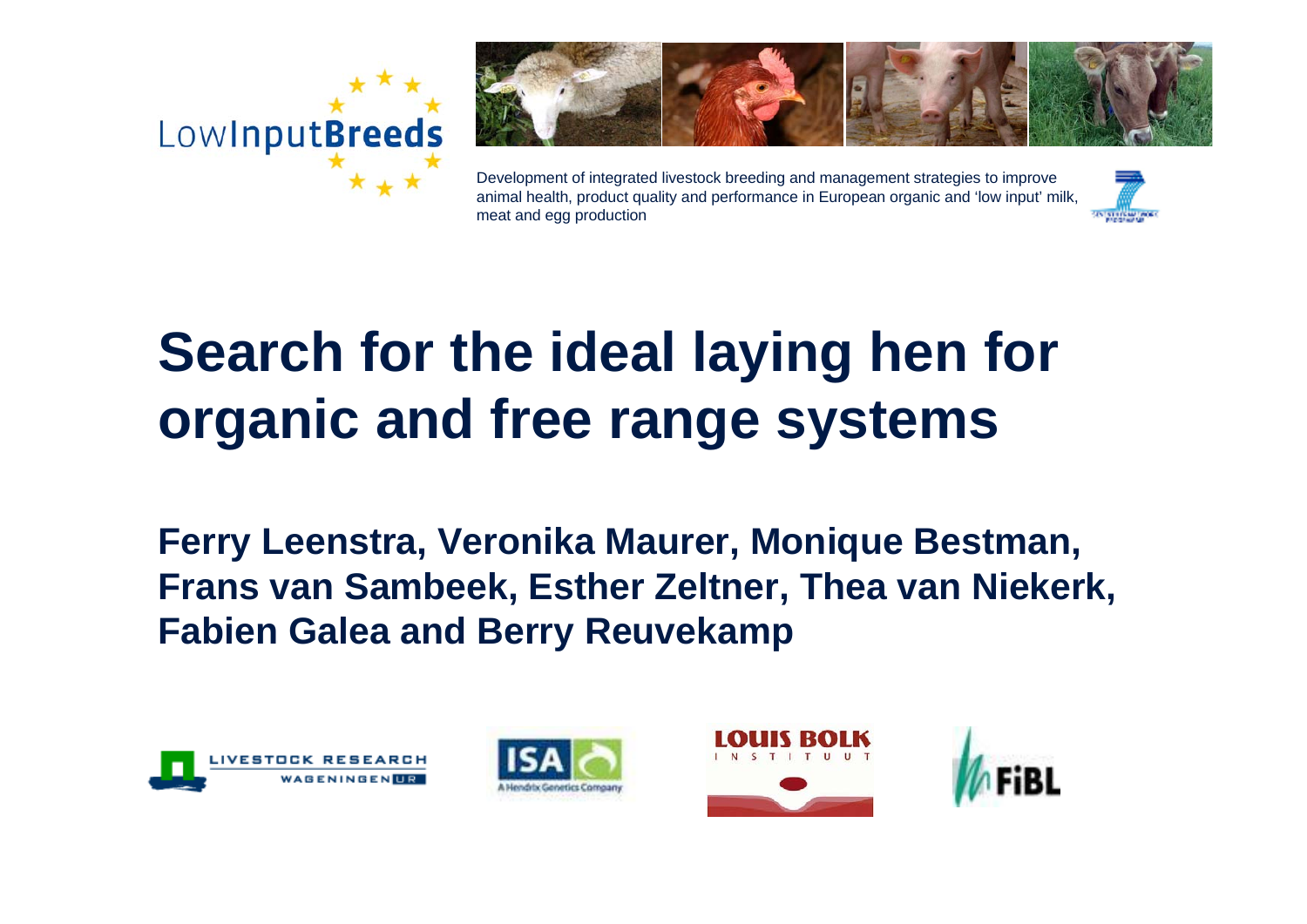



Development of integrated livestock breeding and management strategies to improve animal health, product quality and performance in European organic and 'low input' milk, meat and egg production



# **Search for the ideal laying hen for organic and free range systems**

**Ferry Leenstra, Veronika Maurer, Monique Bestman, Frans van Sambeek, Esther Zeltner, Thea van Niekerk, Fabien Galea and Berry Reuvekamp**







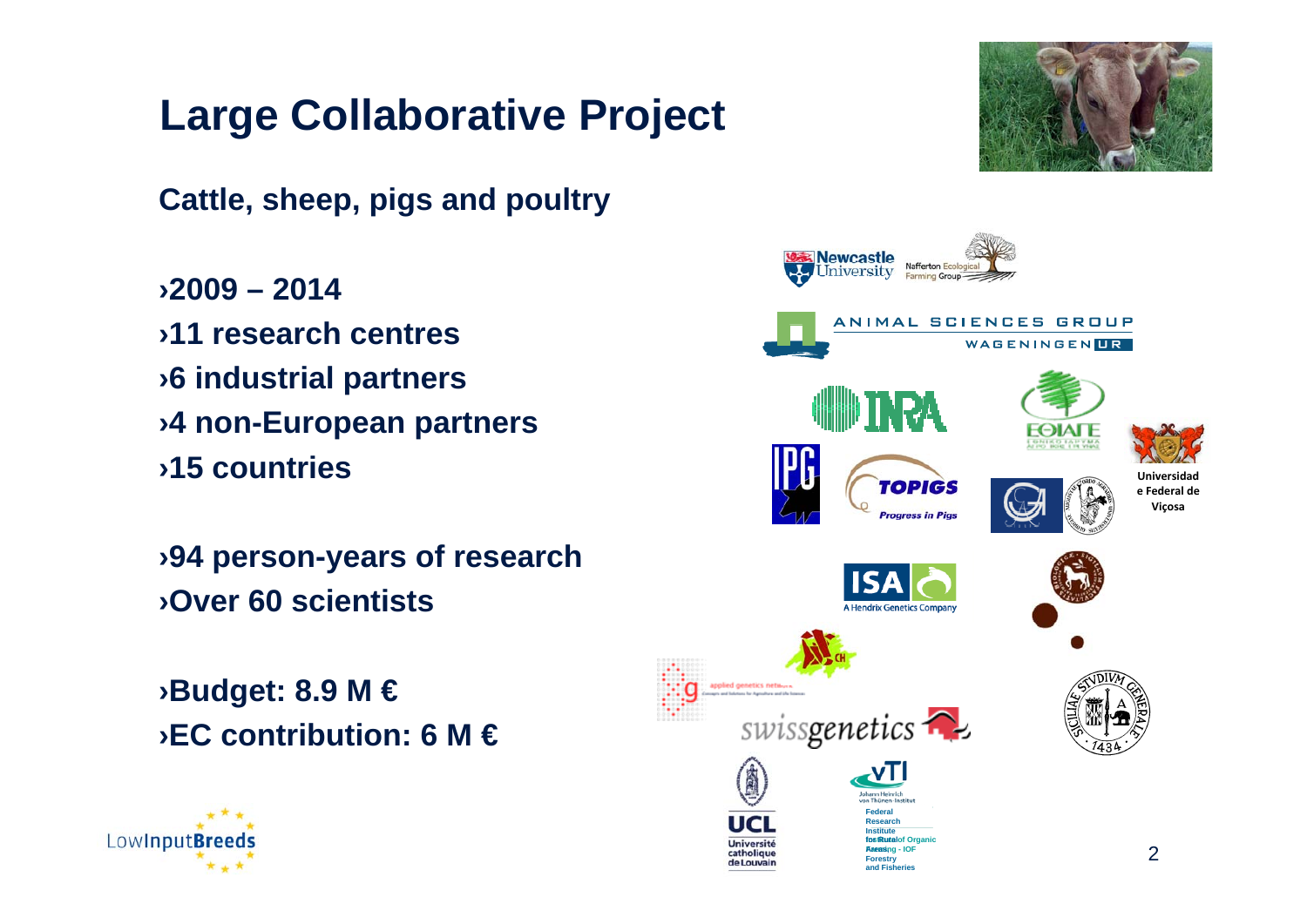## **Large Collaborative Project**

**Cattle, sheep, pigs and poultry**

›**2009 – 2014**›**11 research centres**›**6 industrial partners** ›**4 non-European partners** ›**15 countries** 

›**94 person-years of research** ›**Over 60 scientists**

›**Budget: 8.9 M €** ›**EC contribution: 6 M €**



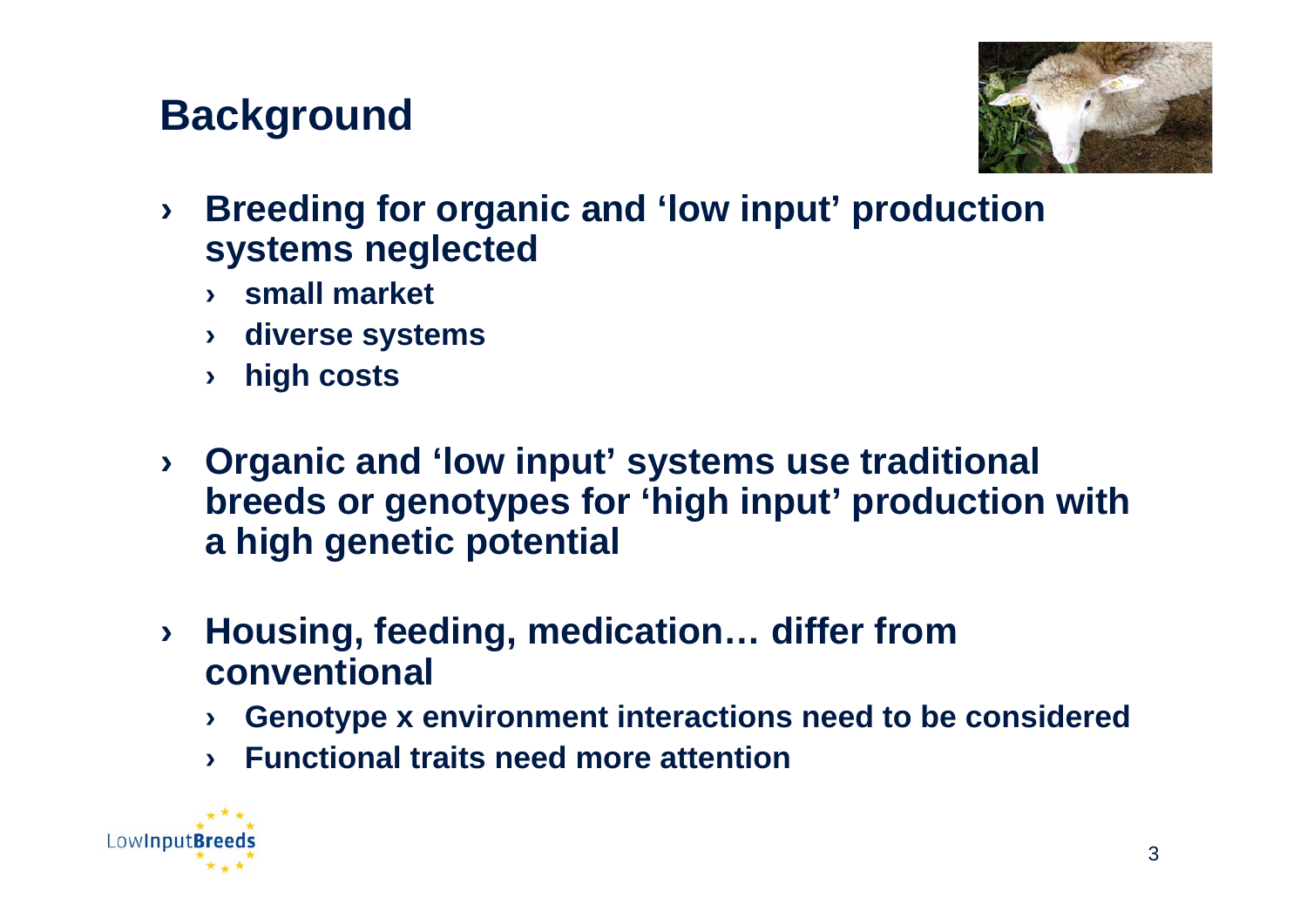#### **Background**



- › **Breeding for organic and 'low input' production systems neglected**
	- › **small market**
	- › **diverse systems**
	- › **high costs**
- › **Organic and 'low input' systems use traditional breeds or genotypes for 'high input' production with a high genetic potential**
- › **Housing, feeding, medication… differ from conventional**
	- › **Genotype x environment interactions need to be considered**
	- › **Functional traits need more attention**

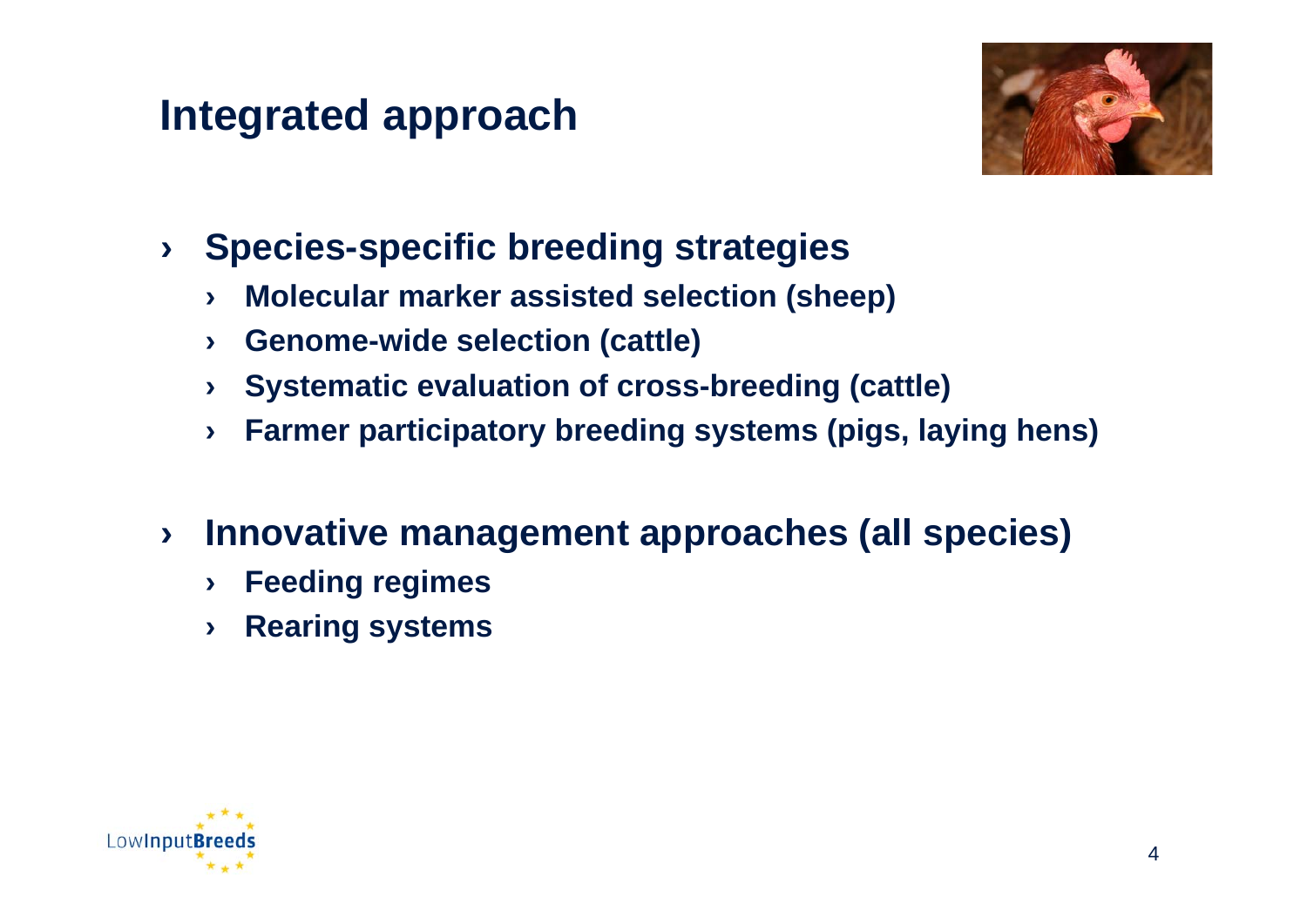### **Integrated approach**



- › **Species-specific breeding strategies**
	- › **Molecular marker assisted selection (sheep)**
	- › **Genome-wide selection (cattle)**
	- › **Systematic evaluation of cross-breeding (cattle)**
	- › **Farmer participatory breeding systems (pigs, laying hens)**
- › **Innovative management approaches (all species)**
	- › **Feeding regimes**
	- › **Rearing systems**

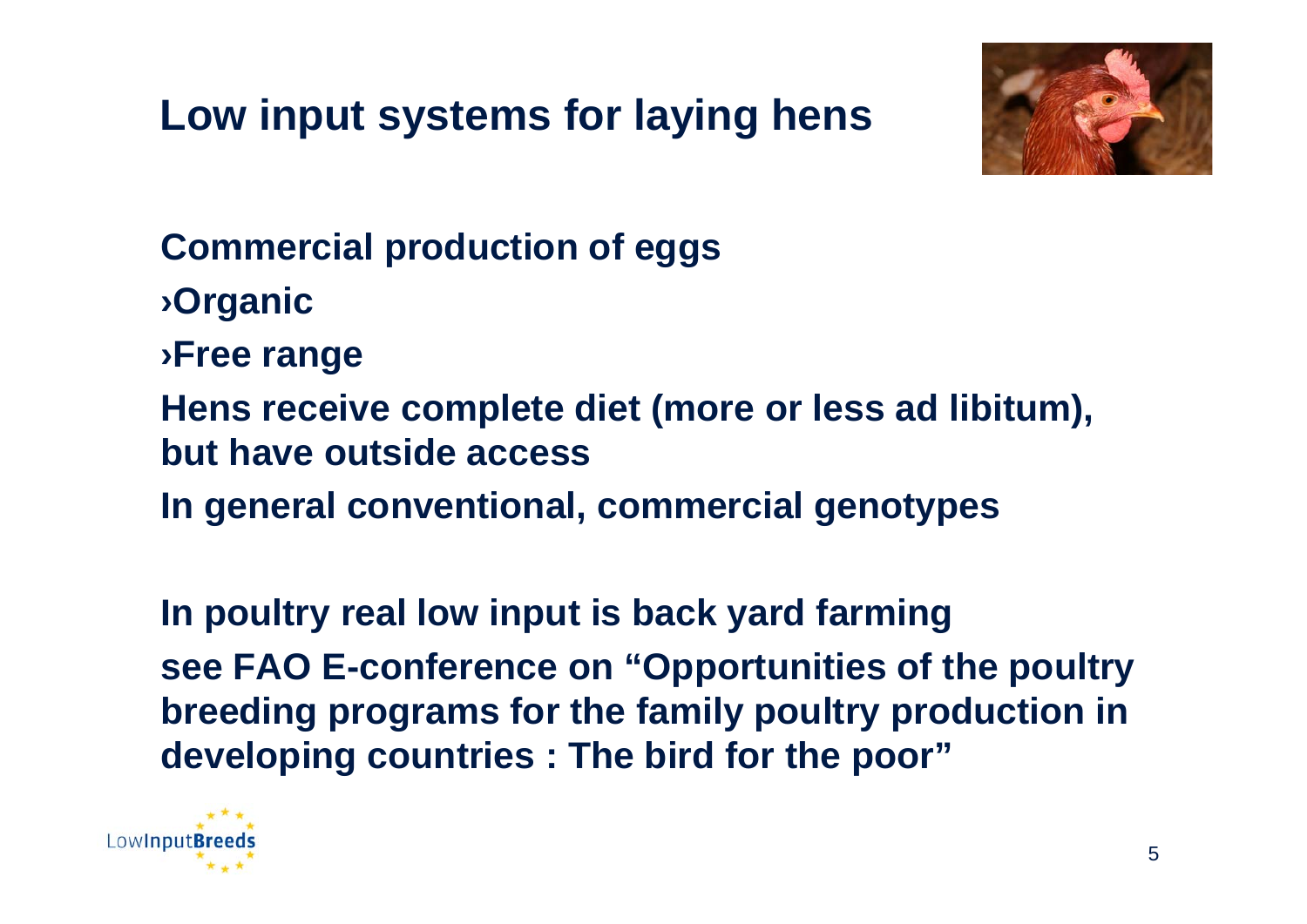# **Low input systems for laying hens**



**Commercial production of eggs** ›**Organic** ›**Free range Hens receive complete diet (more or less ad libitum), but have outside accessIn general conventional, commercial genotypes**

**In poultry real low input is back yard farming see FAO E-conference on "Opportunities of the poultry breeding programs for the family poultry production in developing countries : The bird for the poor"**

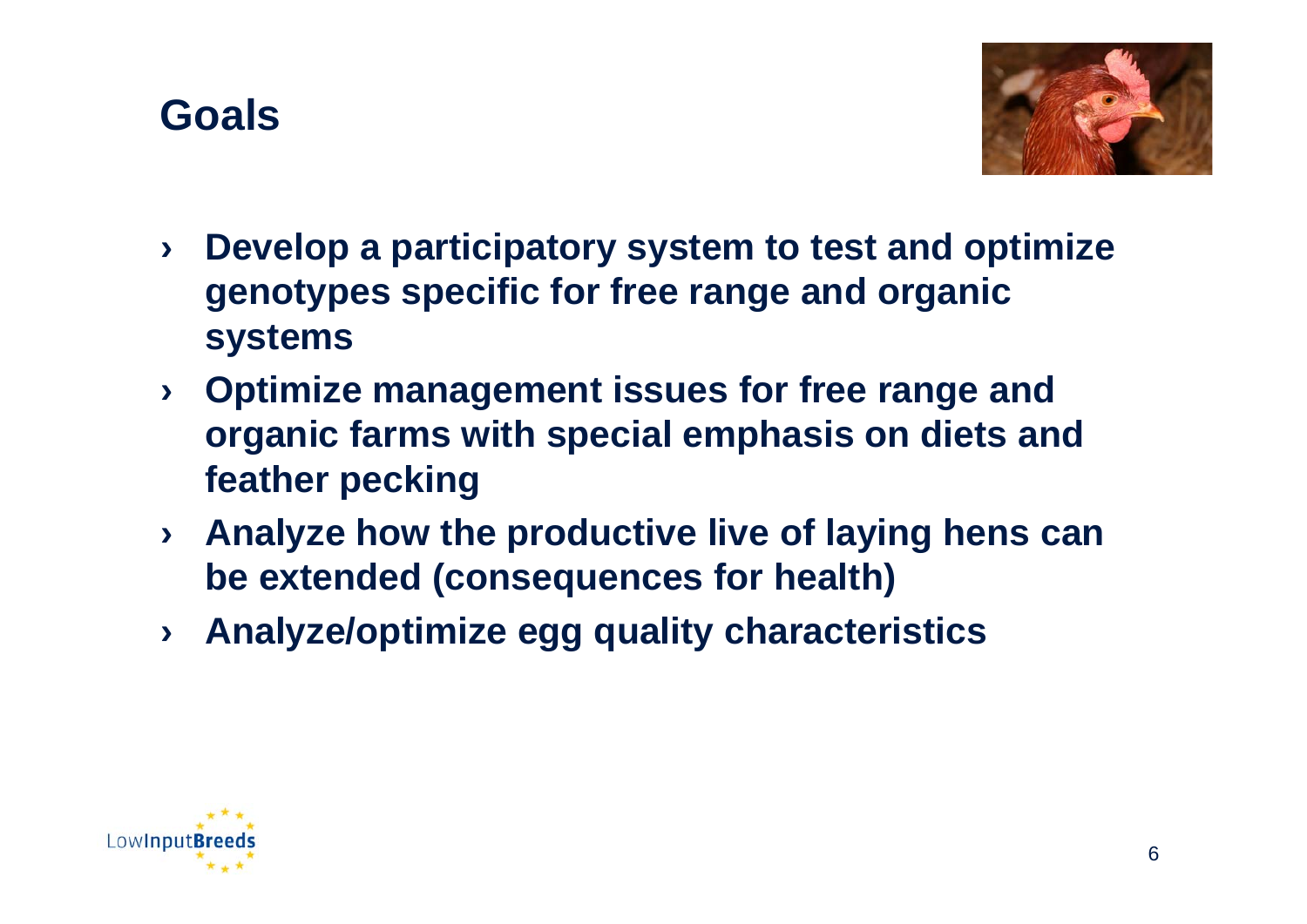



- › **Develop a participatory system to test and optimize genotypes specific for free range and organic systems**
- › **Optimize management issues for free range and organic farms with special emphasis on diets and feather pecking**
- › **Analyze how the productive live of laying hens can be extended (consequences for health)**
- › **Analyze/optimize egg quality characteristics**

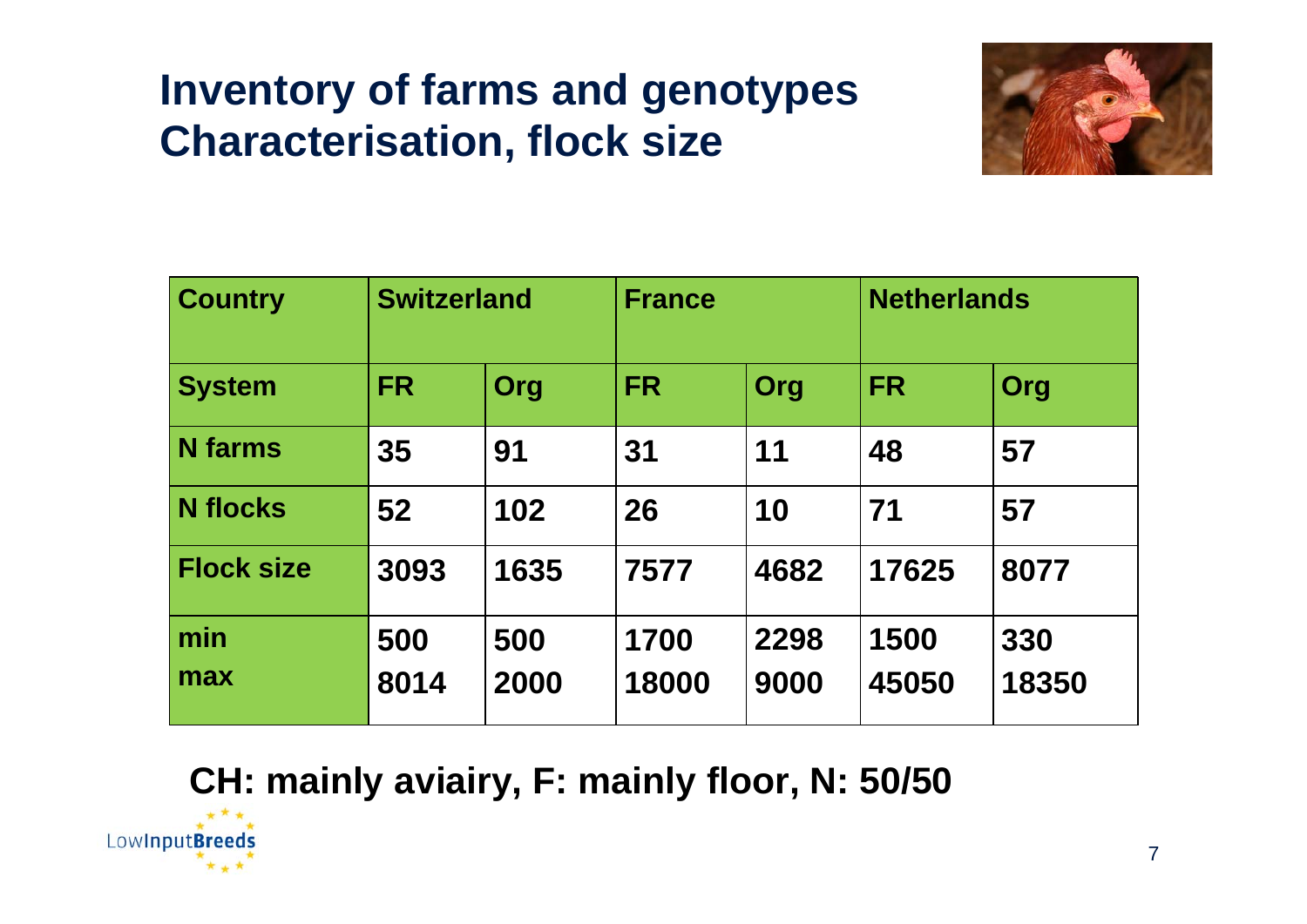## **Inventory of farms and genotypes Characterisation, flock size**



| <b>Country</b>    | <b>Switzerland</b> |             | <b>France</b> |              | <b>Netherlands</b> |              |
|-------------------|--------------------|-------------|---------------|--------------|--------------------|--------------|
| <b>System</b>     | <b>FR</b>          | <b>Org</b>  | <b>FR</b>     | Org          | <b>FR</b>          | Org          |
| <b>N</b> farms    | 35                 | 91          | 31            | 11           | 48                 | 57           |
| <b>N</b> flocks   | 52                 | 102         | 26            | 10           | 71                 | 57           |
| <b>Flock size</b> | 3093               | 1635        | 7577          | 4682         | 17625              | 8077         |
| min<br>max        | 500<br>8014        | 500<br>2000 | 1700<br>18000 | 2298<br>9000 | 1500<br>45050      | 330<br>18350 |
|                   |                    |             |               |              |                    |              |

#### **CH: mainly aviairy, F: mainly floor, N: 50/50**

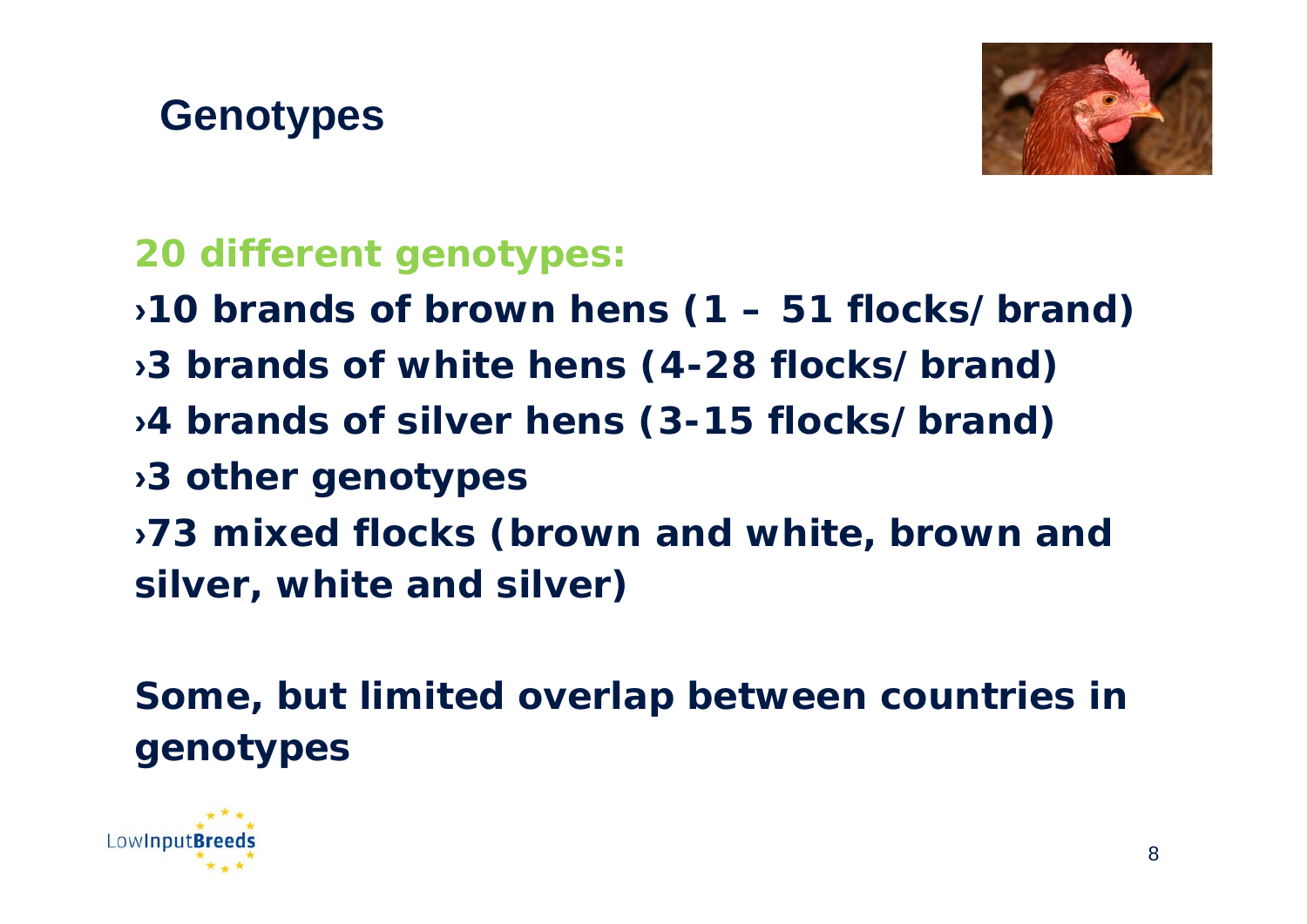



#### **20 different genotypes:**

- ›**10 brands of brown hens (1 51 flocks/brand)**
- ›**3 brands of white hens (4-28 flocks/brand)**
- ›**4 brands of silver hens (3-15 flocks/brand)**
- ›**3 other genotypes**
- ›**73 mixed flocks (brown and white, brown and silver, white and silver)**

**Some, but limited overlap between countries in genotypes** 

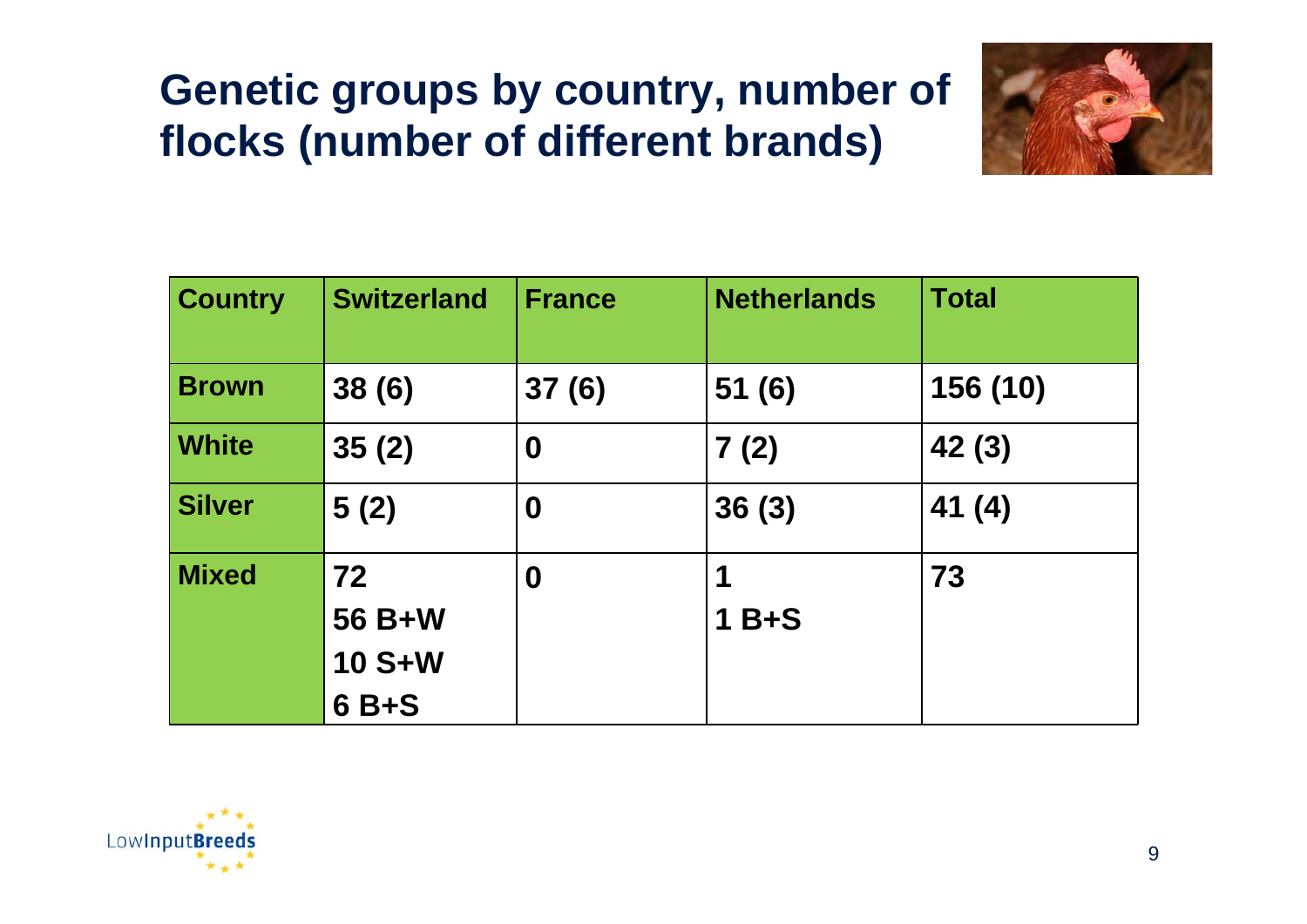# **Genetic groups by country, number of flocks (number of different brands)**



| <b>Country</b> | <b>Switzerland</b>                     | <b>France</b>    | <b>Netherlands</b> | <b>Total</b> |
|----------------|----------------------------------------|------------------|--------------------|--------------|
| <b>Brown</b>   | 38(6)                                  | 37(6)            | 51(6)              | 156 (10)     |
| <b>White</b>   | 35(2)                                  | $\boldsymbol{0}$ | 7(2)               | 42 (3)       |
| <b>Silver</b>  | 5(2)                                   | $\boldsymbol{0}$ | 36(3)              | 41(4)        |
| <b>Mixed</b>   | 72<br>56 B+W<br><b>10 S+W</b><br>6 B+S | $\boldsymbol{0}$ | $1B+S$             | 73           |

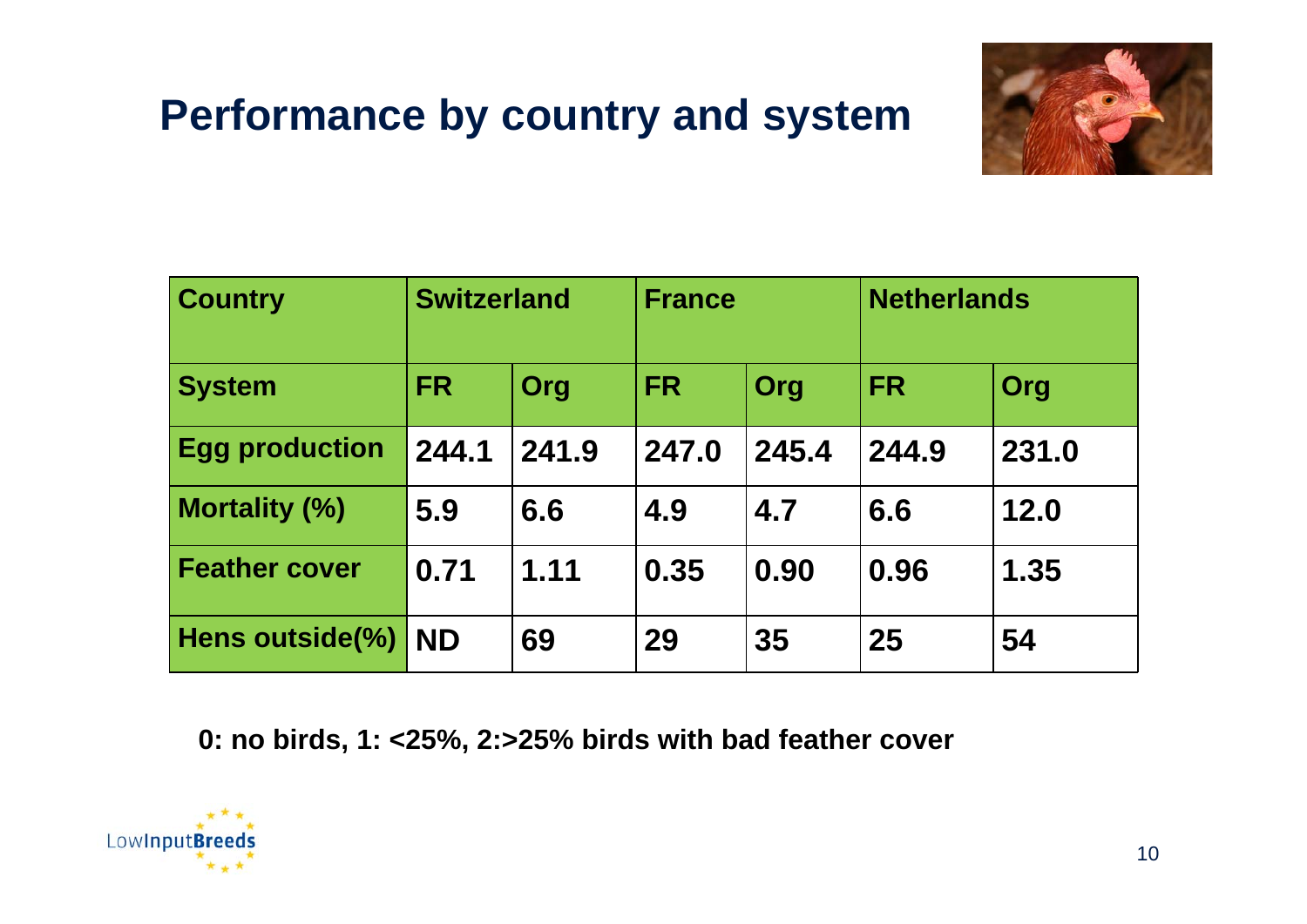# **Performance by country and system**



| <b>Country</b>        | <b>Switzerland</b> |       | <b>France</b> |       | <b>Netherlands</b> |       |
|-----------------------|--------------------|-------|---------------|-------|--------------------|-------|
| <b>System</b>         | <b>FR</b>          | Org   | <b>FR</b>     | Org   | <b>FR</b>          | Org   |
| <b>Egg production</b> | 244.1              | 241.9 | 247.0         | 245.4 | 244.9              | 231.0 |
| <b>Mortality (%)</b>  | 5.9                | 6.6   | 4.9           | 4.7   | 6.6                | 12.0  |
| <b>Feather cover</b>  | 0.71               | 1.11  | 0.35          | 0.90  | 0.96               | 1.35  |
| Hens outside(%)       | <b>ND</b>          | 69    | 29            | 35    | 25                 | 54    |

**0: no birds, 1: <25%, 2:>25% birds with bad feather cover** 

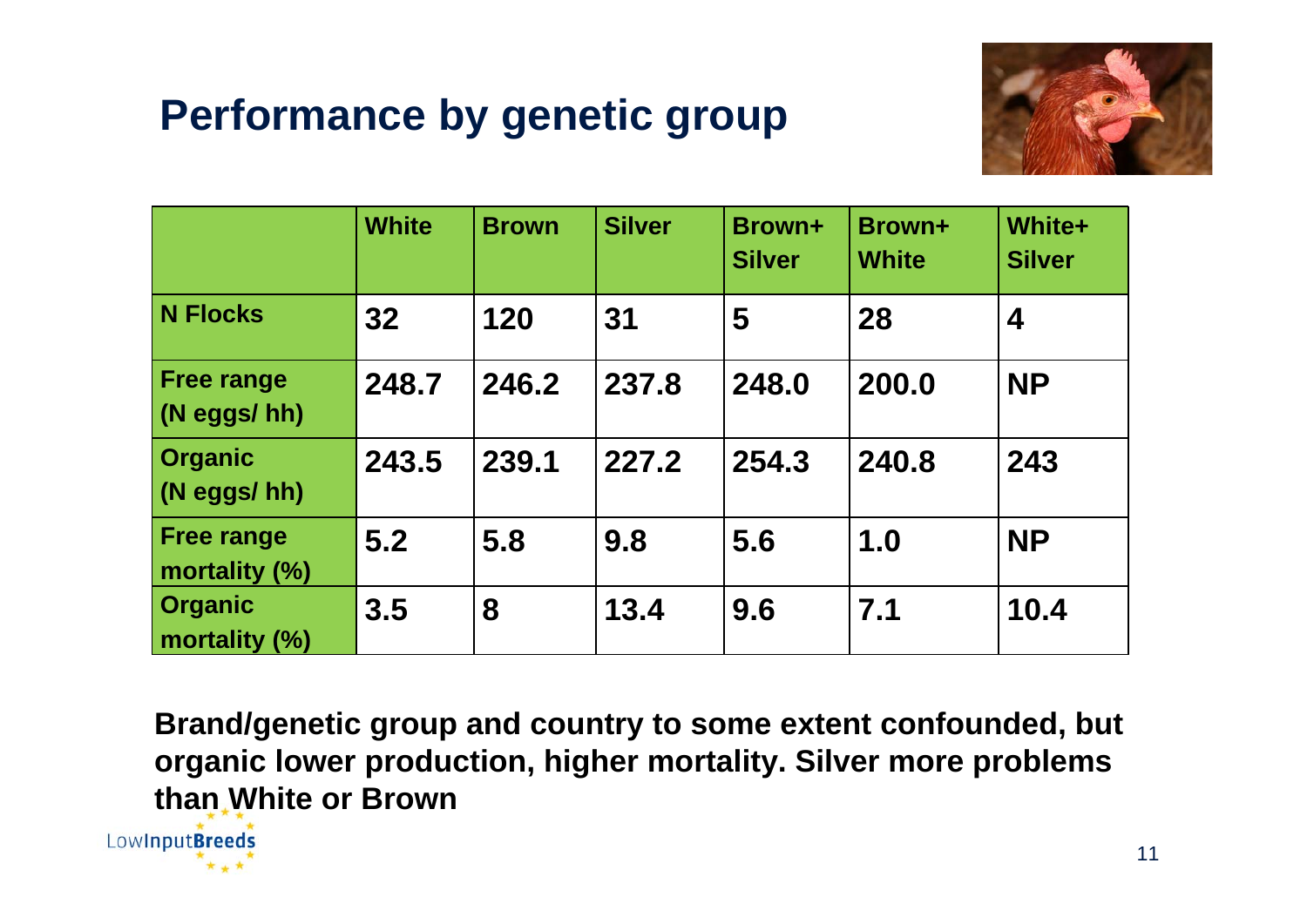# **Performance by genetic group**



|                                    | <b>White</b> | <b>Brown</b> | <b>Silver</b> | <b>Brown+</b><br><b>Silver</b> | Brown+<br><b>White</b> | White+<br><b>Silver</b> |
|------------------------------------|--------------|--------------|---------------|--------------------------------|------------------------|-------------------------|
| <b>N Flocks</b>                    | 32           | 120          | 31            | 5                              | 28                     | 4                       |
| <b>Free range</b><br>(N eggs/ hh)  | 248.7        | 246.2        | 237.8         | 248.0                          | 200.0                  | <b>NP</b>               |
| <b>Organic</b><br>(N eggs/ hh)     | 243.5        | 239.1        | 227.2         | 254.3                          | 240.8                  | 243                     |
| <b>Free range</b><br>mortality (%) | 5.2          | 5.8          | 9.8           | 5.6                            | 1.0                    | <b>NP</b>               |
| <b>Organic</b><br>mortality (%)    | 3.5          | 8            | 13.4          | 9.6                            | 7.1                    | 10.4                    |

**Brand/genetic group and country to some extent confounded, but organic lower production, higher mortality. Silver more problems than White or Brown**

LowInputBreeds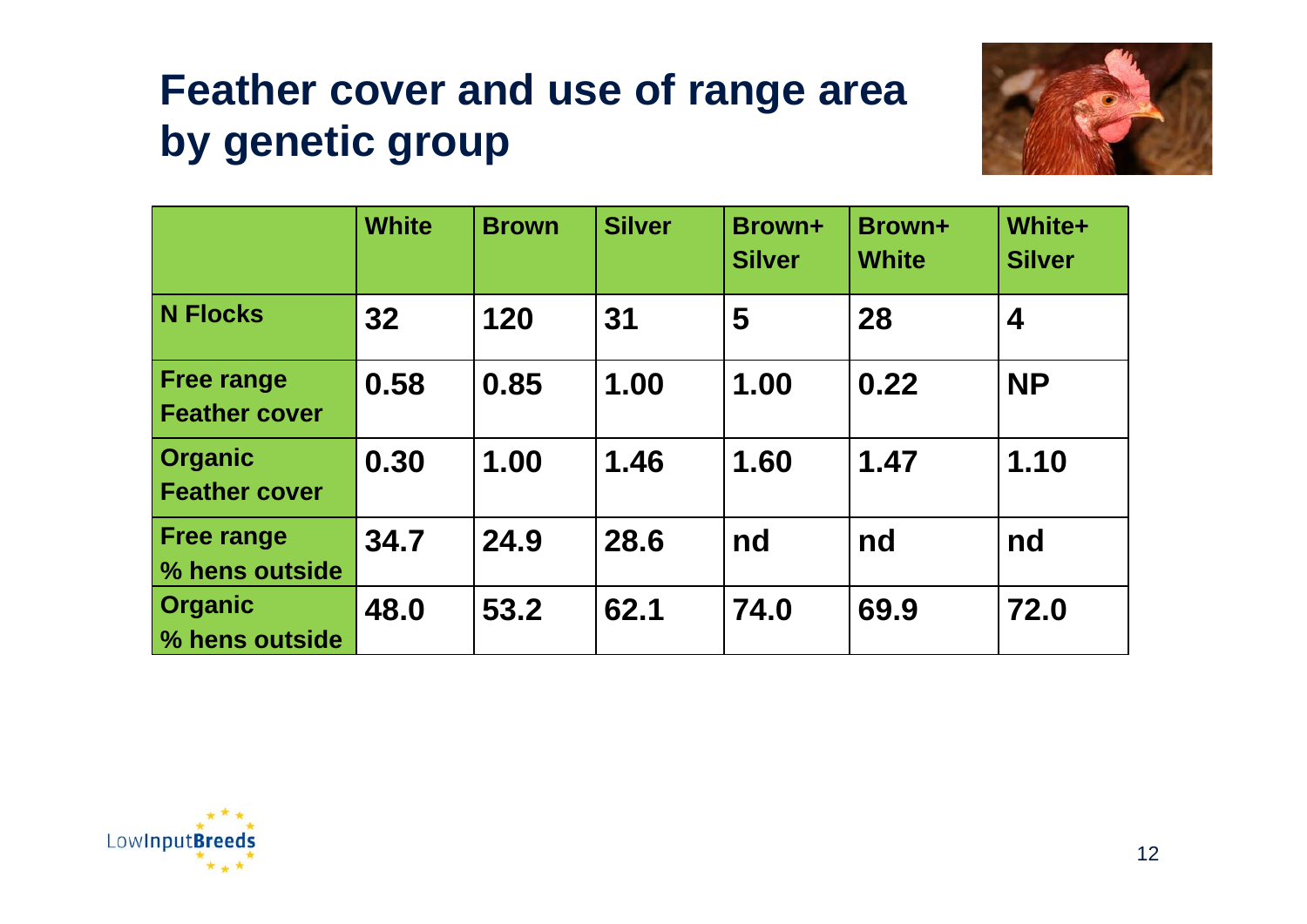# **Feather cover and use of range area by genetic group**



|                                           | <b>White</b> | <b>Brown</b> | <b>Silver</b> | Brown+<br><b>Silver</b> | Brown+<br><b>White</b> | White+<br><b>Silver</b> |
|-------------------------------------------|--------------|--------------|---------------|-------------------------|------------------------|-------------------------|
| N Flocks                                  | 32           | 120          | 31            | 5                       | 28                     | 4                       |
| <b>Free range</b><br><b>Feather cover</b> | 0.58         | 0.85         | 1.00          | 1.00                    | 0.22                   | <b>NP</b>               |
| <b>Organic</b><br><b>Feather cover</b>    | 0.30         | 1.00         | 1.46          | 1.60                    | 1.47                   | 1.10                    |
| <b>Free range</b><br>% hens outside       | 34.7         | 24.9         | 28.6          | nd                      | nd                     | nd                      |
| <b>Organic</b><br>% hens outside          | 48.0         | 53.2         | 62.1          | 74.0                    | 69.9                   | 72.0                    |

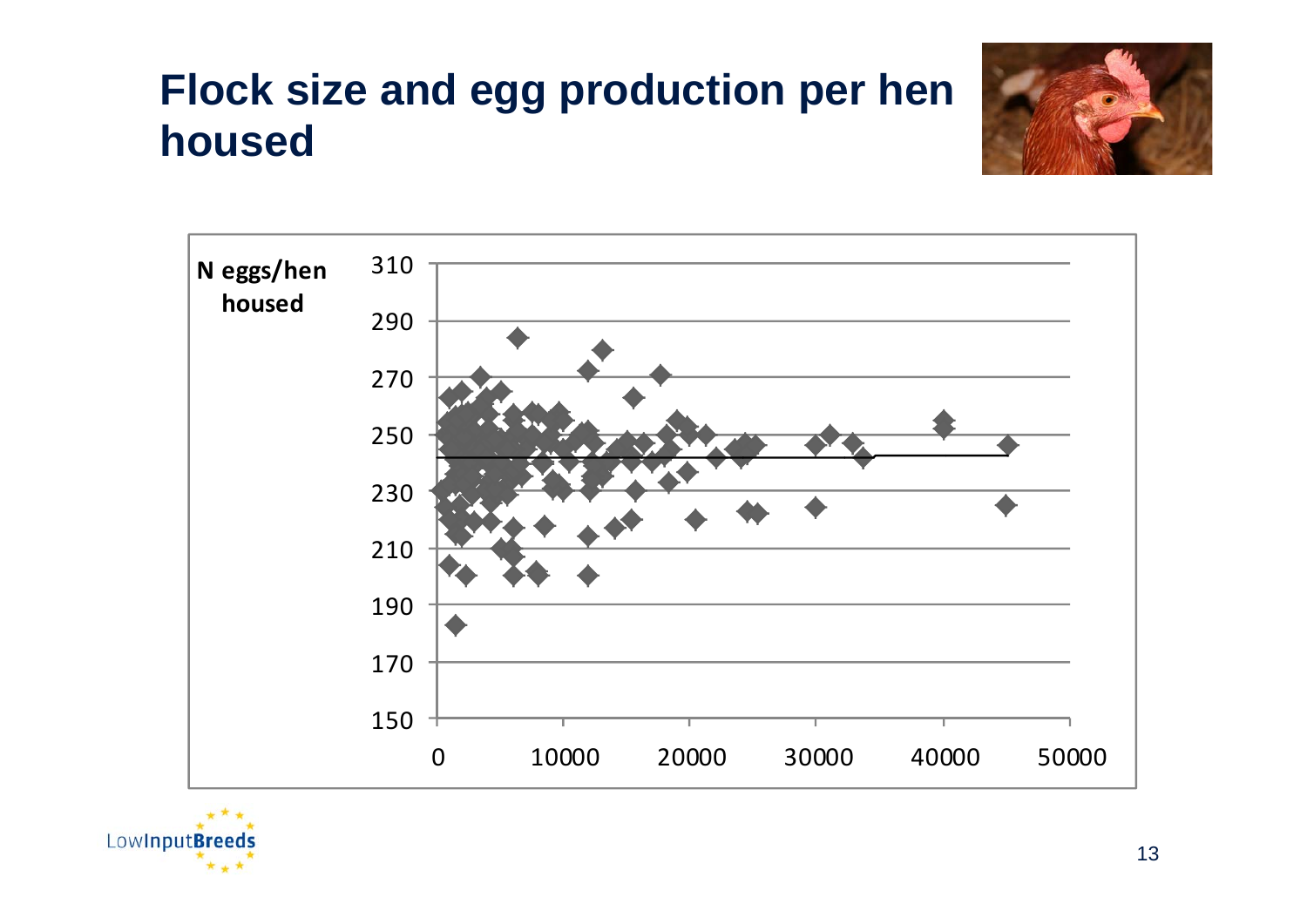# **Flock size and egg production per hen housed**





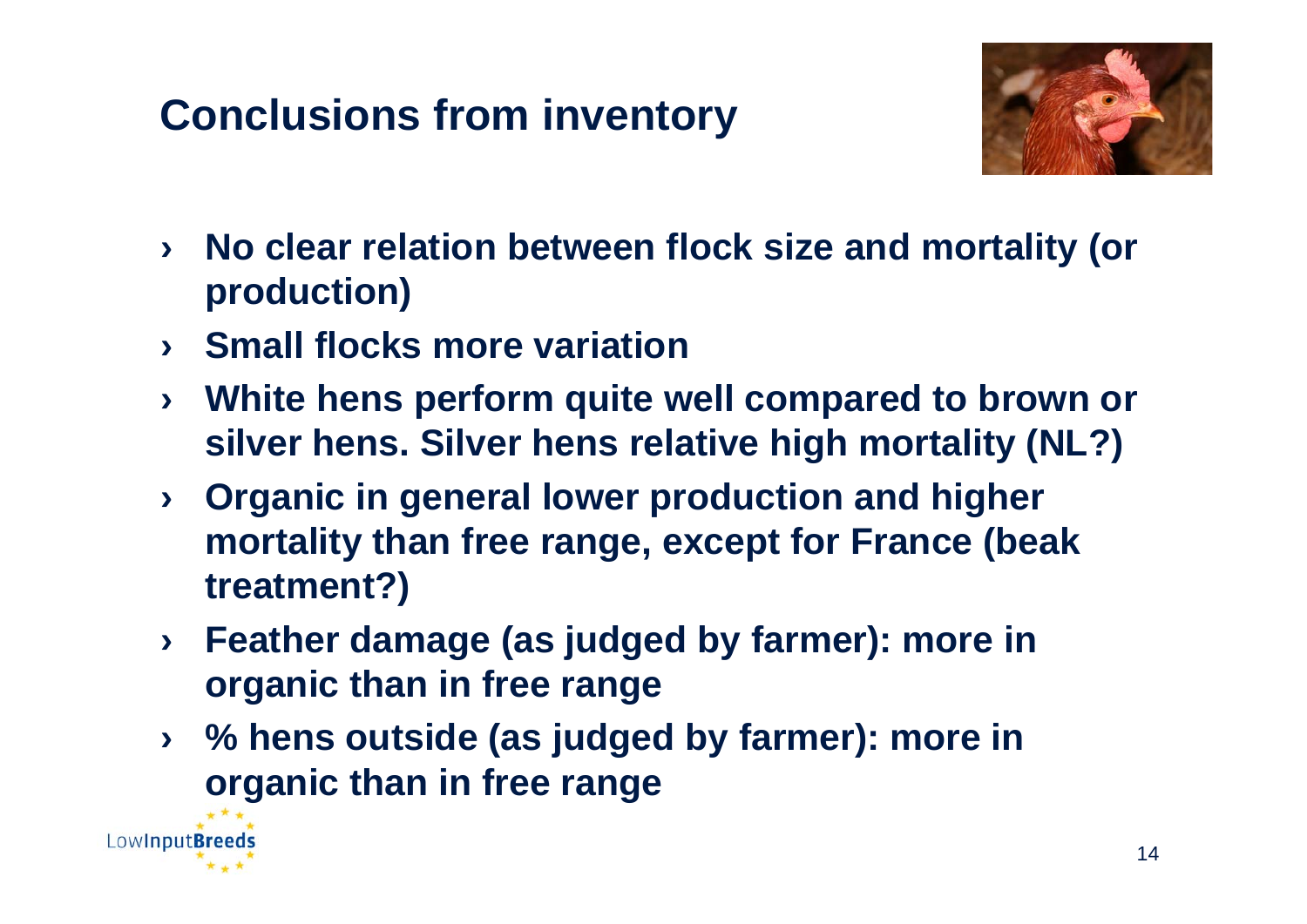# **Conclusions from inventory**



- › **No clear relation between flock size and mortality (or production)**
- › **Small flocks more variation**

Low**InputBreed** 

- › **White hens perform quite well compared to brown or silver hens. Silver hens relative high mortality (NL?)**
- › **Organic in general lower production and higher mortality than free range, except for France (beak treatment?)**
- › **Feather damage (as judged by farmer): more in organic than in free range**
- › **% hens outside (as judged by farmer): more in organic than in free range**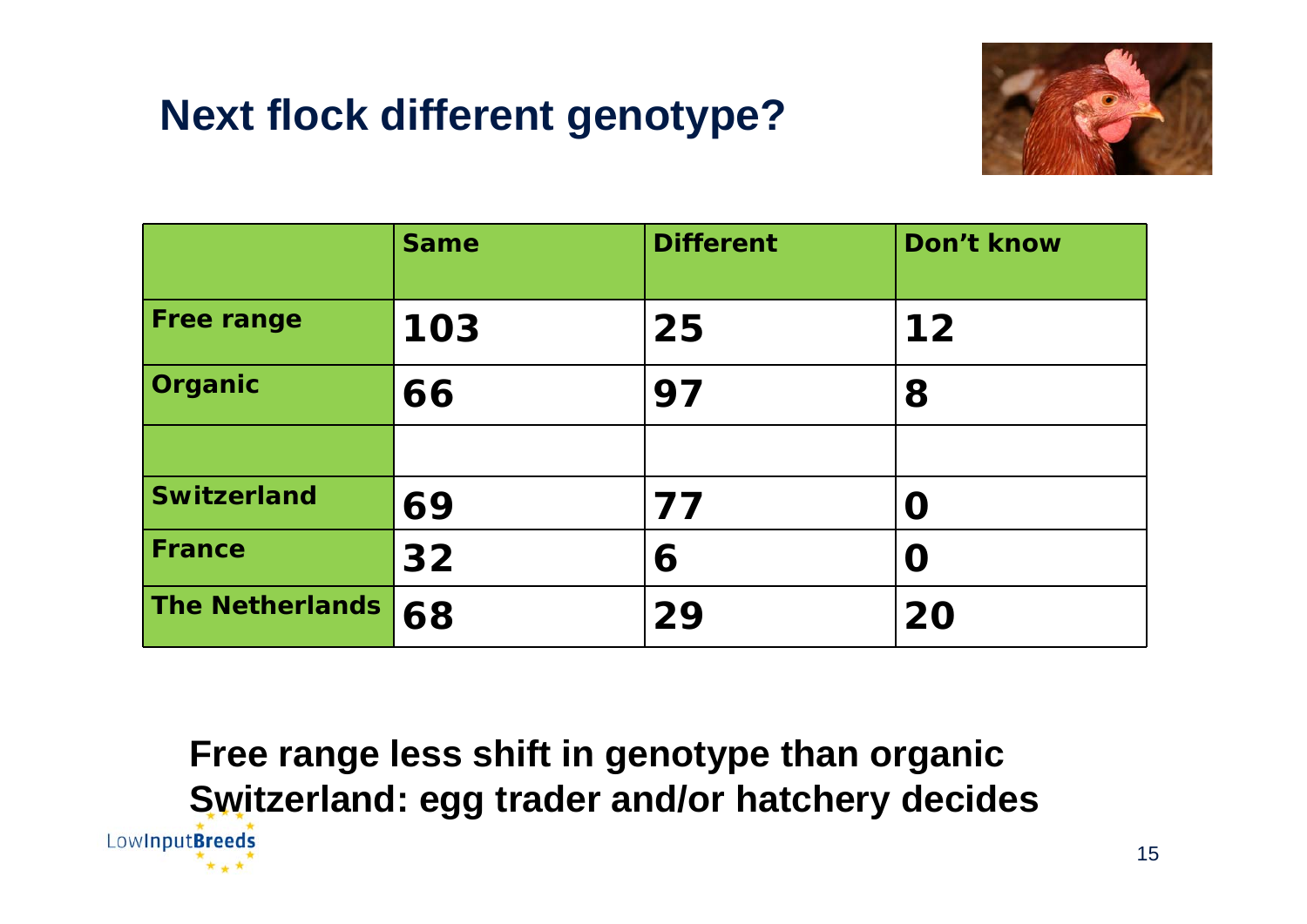# **Next flock different genotype?**



|                        | <b>Same</b> | <b>Different</b> | Don't know |
|------------------------|-------------|------------------|------------|
| <b>Free range</b>      | 103         | 25               | $12$       |
| Organic                | 66          | 97               | 8          |
|                        |             |                  |            |
| <b>Switzerland</b>     | 69          | 77               | $\Omega$   |
| <b>France</b>          | 32          | 6                | O          |
| <b>The Netherlands</b> | 68          | 29               | 20         |

**Free range less shift in genotype than organic Switzerland: egg trader and/or hatchery decides**LowInputBreeds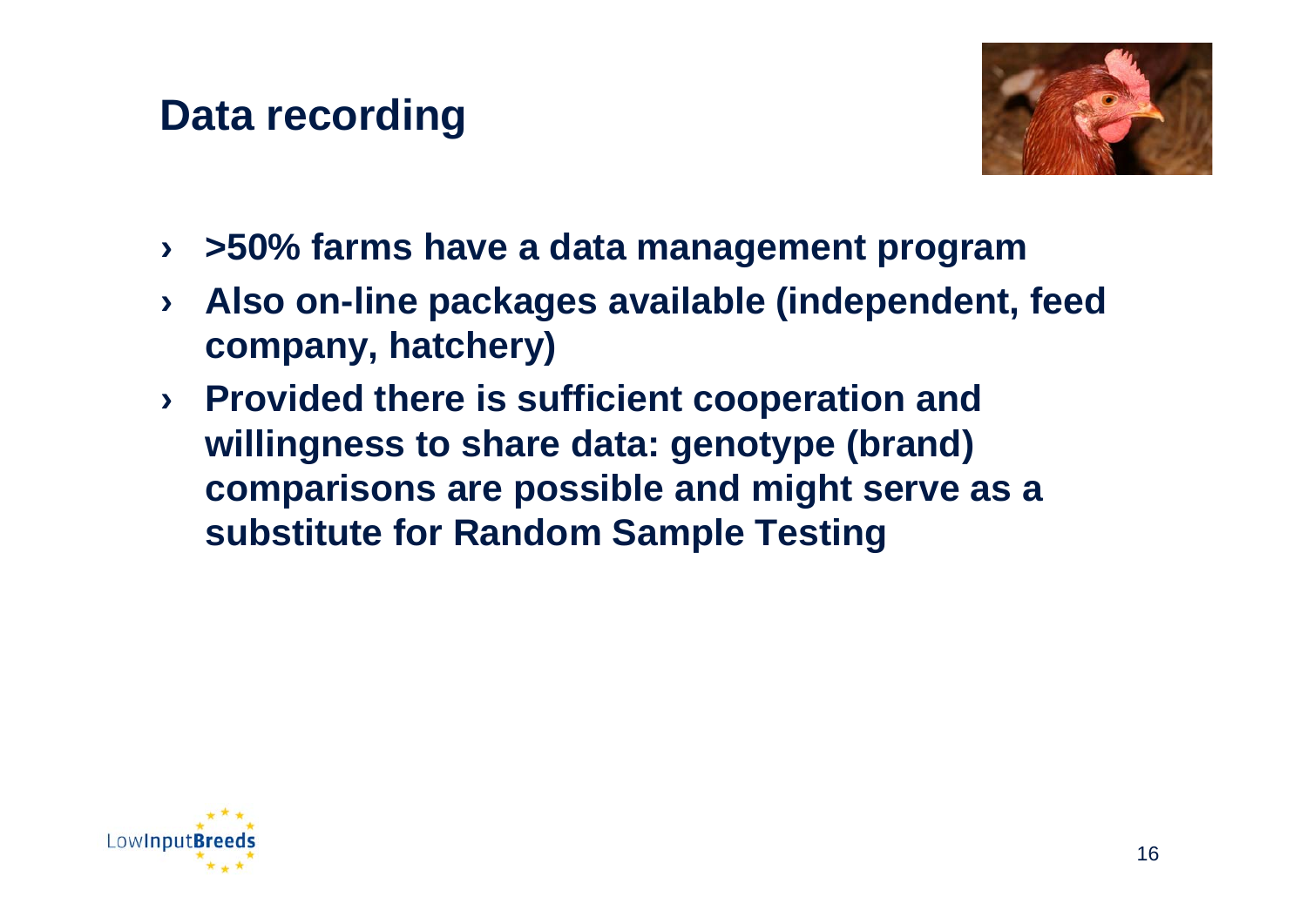#### **Data recording**



- › **>50% farms have a data management program**
- › **Also on-line packages available (independent, feed company, hatchery)**
- › **Provided there is sufficient cooperation and willingness to share data: genotype (brand) comparisons are possible and might serve as a substitute for Random Sample Testing**

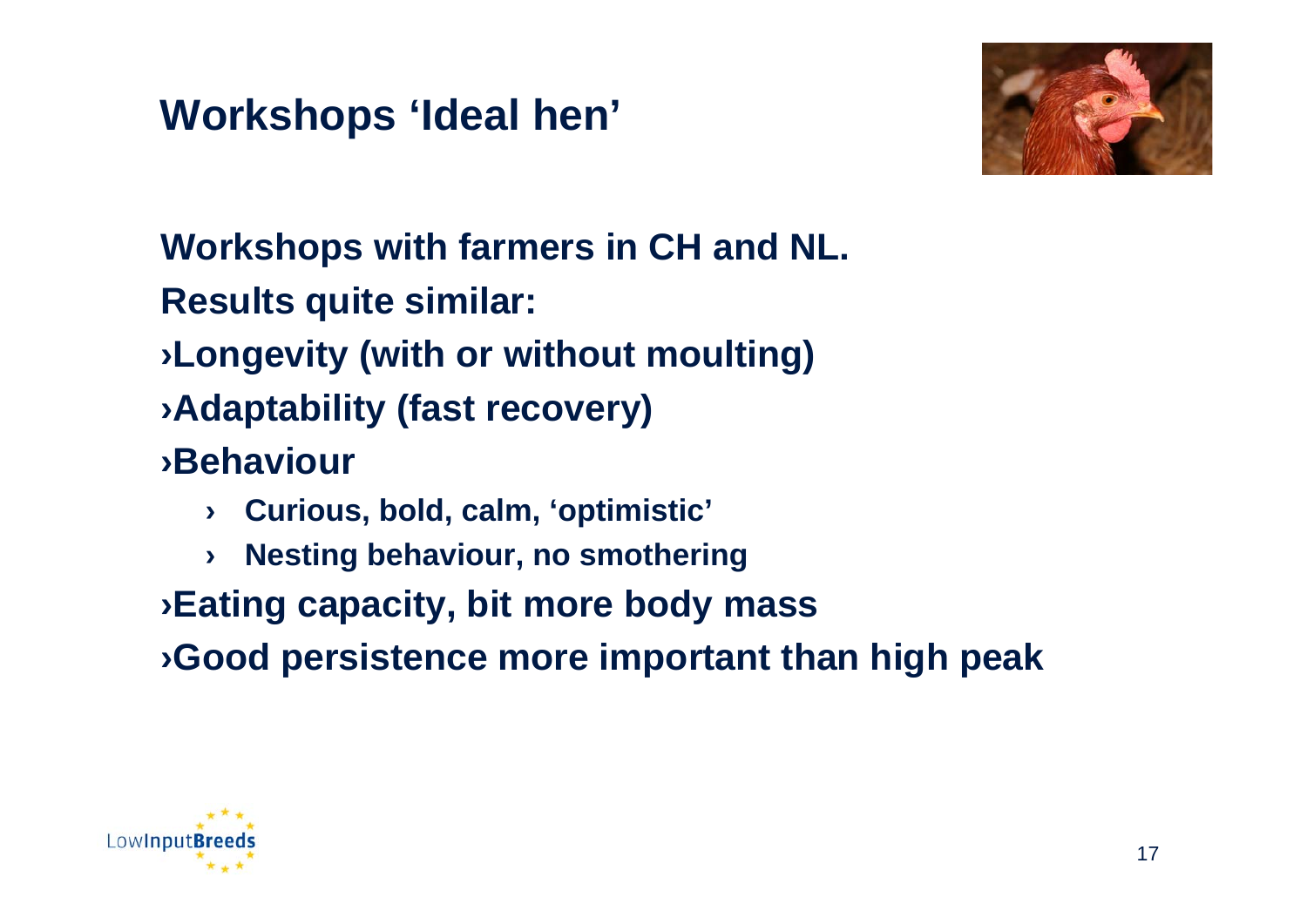## **Workshops 'Ideal hen'**



#### **Workshops with farmers in CH and NL. Results quite similar:**

- ›**Longevity (with or without moulting)**
- ›**Adaptability (fast recovery)**
- ›**Behaviour**
	- › **Curious, bold, calm, 'optimistic'**
	- › **Nesting behaviour, no smothering**
- ›**Eating capacity, bit more body mass**
- ›**Good persistence more important than high peak**

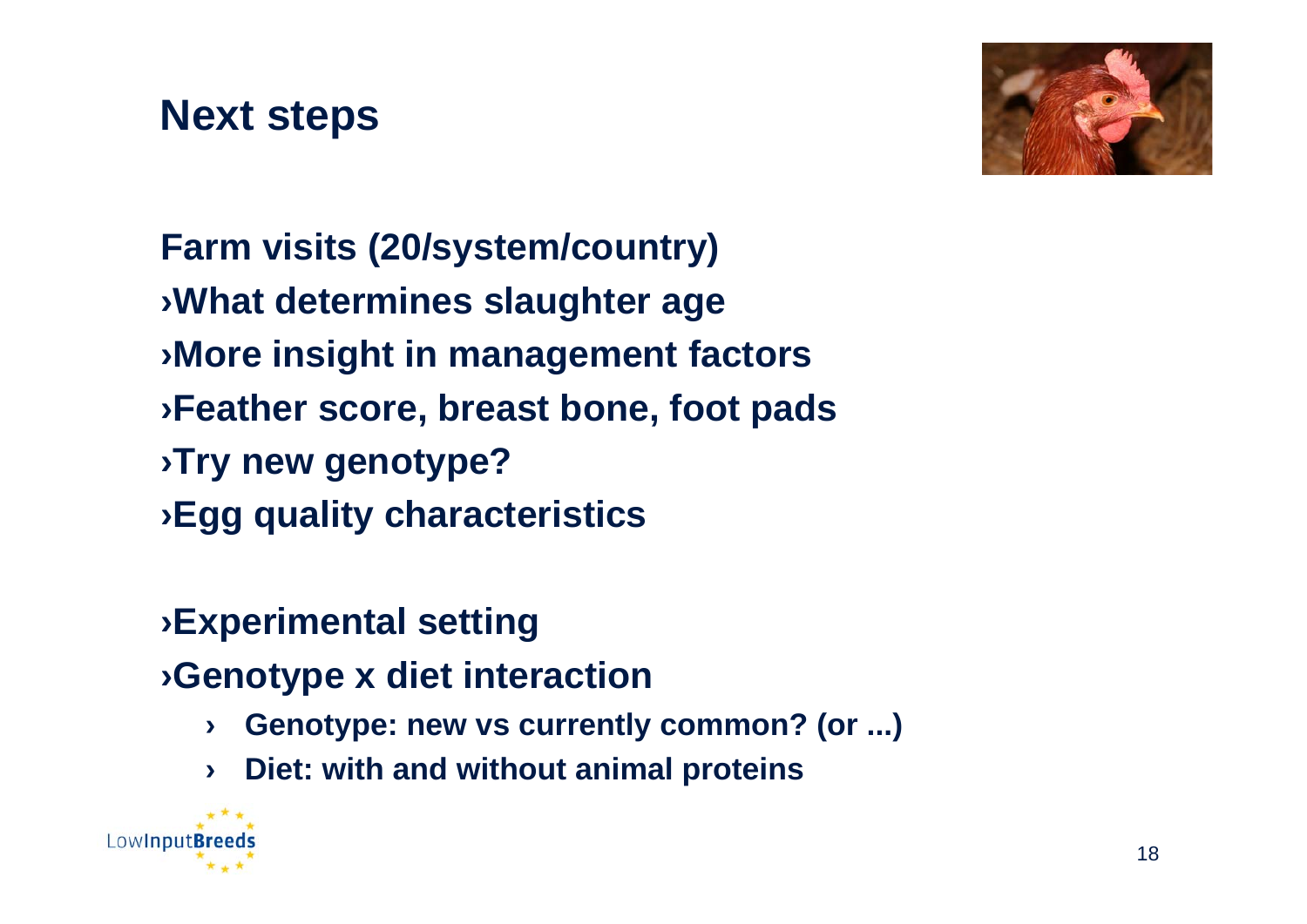#### **Next steps**



**Farm visits (20/system/country)** ›**What determines slaughter age** ›**More insight in management factors** ›**Feather score, breast bone, foot pads** ›**Try new genotype?**  ›**Egg quality characteristics**

# ›**Experimental setting**

- ›**Genotype x diet interaction**
	- › **Genotype: new vs currently common? (or ...)**
	- › **Diet: with and without animal proteins**